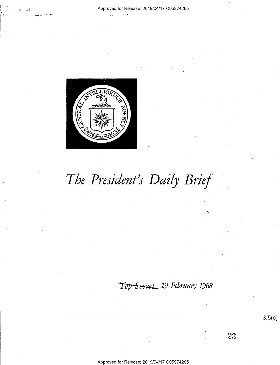

§'\_,,,.,.¢...--an \_, ..\_-=- \

# The President's Daily Brief

Top Secret 19 February 1968

 $\mathcal{L}_{\mathcal{A}}$ 

 $3.5(c)$ 

23

Approved for Release: 2019/O4/17 CO5974285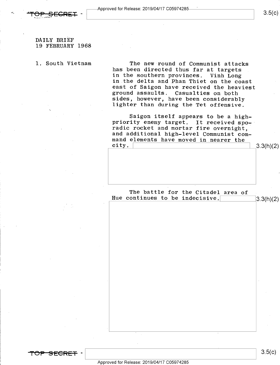

 $3.5(c)$ 

## DAILY BRIEF 19 FEBRUARY 1968

V

1. South Vietnam The new round of Communist attacks has been directed thus far at targets<br>in the southern provinces. Vinh Long in the delta and Phan Thiet on the coast<br>east of Saigon have received the heaviest<br>ground assaults. Casualties on both<br>sides, however, have been considerably lighter than during the Tet offensive.

> Saigon itself appears to be a high-<br>priority enemy target. It received sporadic rocket and mortar fire overnight,<br>and additional high-level Communist com-<br>mand elements have moved in nearer the<br>city. city.  $\frac{1}{3}3.3(h)(2)$

> The battle for the Citadel area of Hue continues to be indecisive.  $\begin{bmatrix}3.3(h)(2)\end{bmatrix}$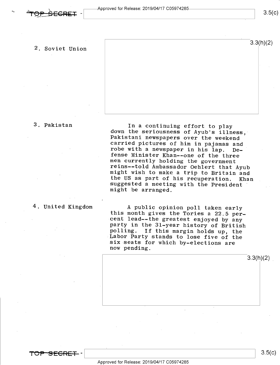2. Soviet Union

### 3. Pakistan

In a continuing effort to play<br>down the seriousness of Ayub's illness,<br>Pakistani newspapers over the weekend<br>carried pictures of him in pajamas and<br>robe with a newspaper in his lap. De-<br>fense Minister Khan--one of the thre

# 4. United Kingdom

A public opinion poll taken early<br>this month gives the Tories a 22.5 per-<br>cent lead--the greatest enjoyed by any<br>party in the 31-year history of British<br>polling. If this margin holds up, the<br>Labor Party stands to lose five

 $3.3(h)(2)$ 

3.3(h)(2)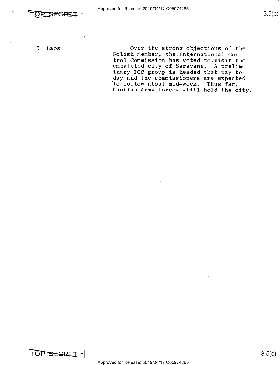$3.5(c)$ 

5. Laos

Over the strong objections of the Polish member, the International Con-<br>trol Commission has voted to visit the embattled city of Saravane. A preliminary ICC group is headed that way today and the commissioners are expected to follow about mid-week. Thus far, Laotian Army forces still hold the city.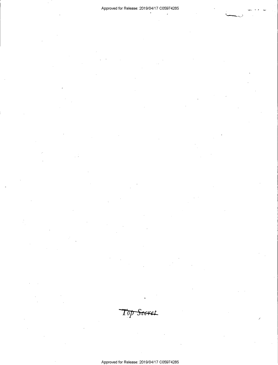Top Secret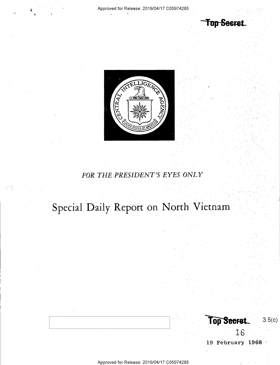

; Approved for Release: 2019/O4/17 CO5974285

- '

Top Secret

 $3.5(c)$ 

TELLIGET

o@"TR4£

 $\!\%$ **89 |**  $\sim$  $\sim$   $\sim$   $\sim$ V \*  $\frac{1}{\sqrt{1-\epsilon}}$   $\frac{1}{\sqrt{1-\epsilon}}$   $\frac{1}{\sqrt{1-\epsilon}}$ ED STATES OF MINE

FOR THE PRESIDENT'S EYES ONLY

Special Daily Report on North Vietnam

19 February 1968."-

/

**Top Secret** 

16

Approved for Release: 2019/O4/17 CO5974285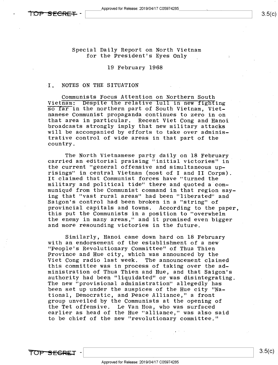Special Daily Report on North Vietnam for the President's Eyes Only

19 February 1968

### I. NOTES ON THE SITUATION .

Communists Focus Attention on Northern South<br>Vietnam: Despite the relative lull in new fighting so far in the northern part of South Vietnam, Vietnamese Communist propaganda continues to zero in on broadcasts strongly imply that new military attacks will be accompanied by efforts to take over administrative control of wide areas in that part of the country.

The North Vietnamese party daily on 18 February carried an editorial praising "initial victories" the current "general offensive and simultaneous uprisings" in central Vietnam (most of I and II Corps) It claimed that Communist forces have "turned the<br>military and political tide" there and quoted a communiqué from the Communist command in that region say-<br>ing that "vast rural areas" had been "liberated" and Saigon's control had been broken in a "string" of<br>provincial capitals and towns. According to the paper. this put the Communists in a position to "overwhelm the enemy in many areas," and it promised even bigger and more resounding victories in the future.

Similarly, Hanoi came down hard on 18 February with an endorsement of the establishment of a new' Province and Hue city, which was announced by the Viet Cong radio last week. The announcement claimed this committee was in process of taking over the administration of Thua Thien and Hue, and that Saigon's authority had been "liquidated" or was disintegrating. The new "provisional administration" allegedly'has been set up under the auspices of the Hue city "National, Democratic, and Peace Alliance," a front group unveiled by the Communists at the opening of the Tet offensive. Le Van Hoa, who was surfaced earlier as head of the Hue "alliance," was also said to be chief of the new "revolutionary committee."

TOP SEGRET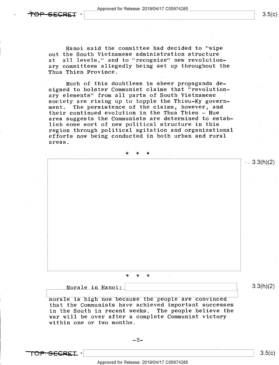Approved for Release: 2019/O4/17 CO5974285 Approved for Release: 2019/04/17 C05974285<br>
3.5(c)

 $1.3(1)$ .3.3(h)(2)

Hanoi said the committee had decided to "wipe out the South Vietnamese administration structure<br>at all levels," and to "recognize" new revolution all levels," and to "recognize" new revolutionary committees allegedly being set up throughout the Thua Thien Province.

Much of this doubtless is sheer propaganda designed to bolster Communist claims that "revolutionary elements" from all parts of South Vietnamese society are rising up to topple the Thieu-Ky govern-<br>ment. The persistence of the claims, however, and The persistence of the claims, however, and their continued evolution in the Thua Thien - Hue ' area suggests the Communists are determined to establish some sort of new political structure in this region through political agitation and organizational efforts now being conducted in both urban and rural areas.

\* \* \*

\* \* \*

Morale in Hanoi:

H morale is high now because the people are convinced that the Communists have achieved important successes in the South in recent weeks. The people believe the war will be over after a complete Communist victory within one or two months.

 $\overline{TOP}$  -SEGRET -  $\vert$  3.5(c)

 $3.3(h)(2)$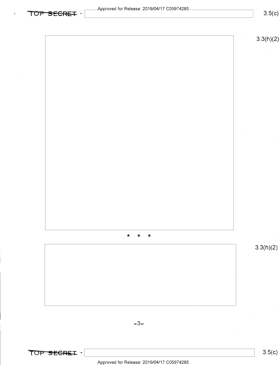$\overline{TOP}$  SECRET - Approved for Release. 2019/04/17 Co5974285



Approved for Release: 2019/O4/17 CO5974285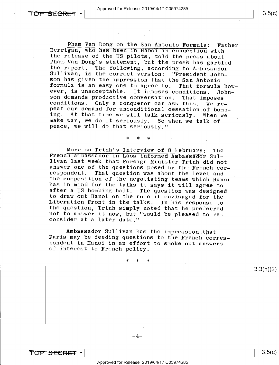Pham Van Dong on the San Antonio Formula: Father<br>Berrigan, who has been in Hanoi in connection with<br>the release of the US pilots, told the press about<br>Pham Van Dong's statement, but the press has garbled<br>the report. The fo peace, we will do that seriously."

More on Trinh's Interview of 8 February: The<br>French ambassador in Laos informed Ambassador Sul-<br>livan last week that Foreign Minister Trinh did not<br>answer one of the questions posed by the French cor-<br>respondent. That ques after a US bombing halt. The question was designed<br>to draw out Hanoi on the role it envisaged for the<br>Liberation Front in the talks. In his response to<br>the question, Trinh simply noted that he preferred<br>not to answer it no

\* \* \*

Ambassador Sullivan has the impression that<br>Paris may be feeding questions to the French corres-<br>pondent in Hanoi in an effort to smoke out answers<br>of interest to French policy.

>l< \* \*

 $-4-$ 

3.3(h)(2)

 $3.5(c)$ 

Approved for Release: 2019/O4/17 CO5974285

 $\begin{array}{|c|c|c|c|c|c|c|c|c|}\hline \textbf{TOP} & \textbf{SEGRET} & \textbf{-1} & & \textbf{3.5(c)}\ \hline \end{array}$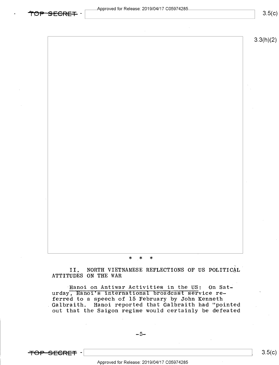3.3(h)(2)

#### \* \* \*

II. NORTH VIETNAMESE REFLECTIONS OF US POLITICAL' ATTITUDES ON THE WAR

Hanoi on Antiwar Activities in the US: On Saturday, Hanof's international broadcast service referred to a speech of 15 February by John Kenneth Galbraith. Hanoi reported that Galbraith had "pointed". out that the Saigon regime would certainly be defeated

-  $\frac{1}{2}$  3.5(c)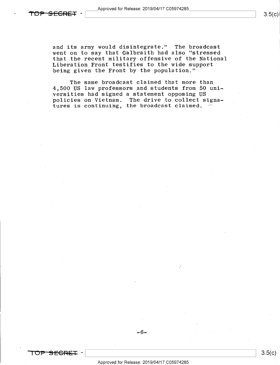and its army would disintegrate." The broadcast went on to say that Galbraith had also "stressed that the recent military offensive of the National Liberation Front testifies to the wide support being given the Front by the population."

The same broadcast claimed that more than 4,500 US law professors\_and students from 50 universities had signed a statement opposing US policies on Vietnam. The drive to collect signatures is continuing, the broadcast claimed.  $\overline{\phantom{a}}$ 

TO<del>P SECRET</del> –

-6-